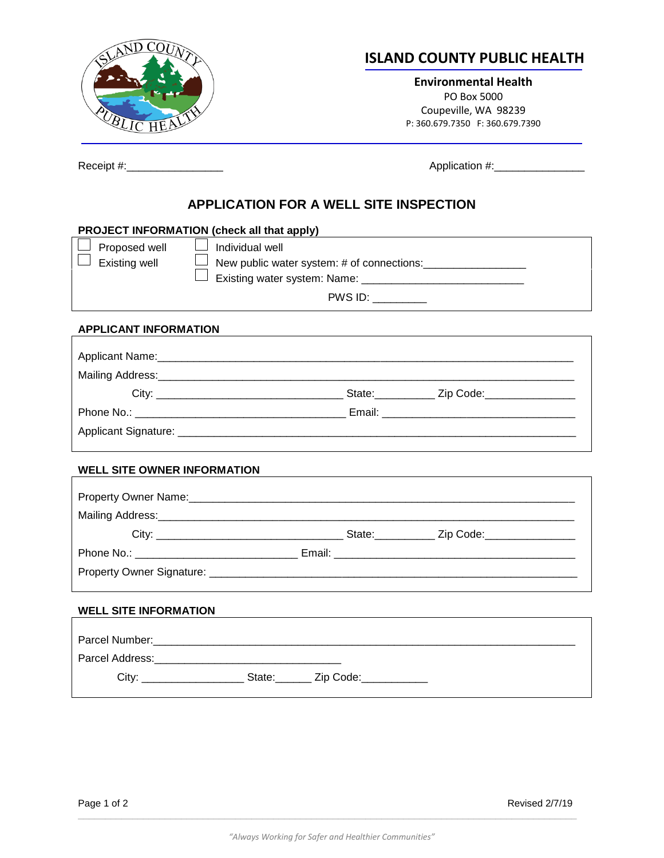

## **ISLAND COUNTY PUBLIC HEALTH**

**Environmental Health** PO Box 5000 Coupeville, WA 98239 P: 360.679.7350 F: 360.679.7390

Receipt #:\_\_\_\_\_\_\_\_\_\_\_\_\_\_\_\_ Application #:\_\_\_\_\_\_\_\_\_\_\_\_\_\_\_

## **APPLICATION FOR A WELL SITE INSPECTION**

| PROJECT INFORMATION (check all that apply)                                                                          |                 |                                                                                  |  |  |
|---------------------------------------------------------------------------------------------------------------------|-----------------|----------------------------------------------------------------------------------|--|--|
| Proposed well                                                                                                       | Individual well |                                                                                  |  |  |
| <b>Existing well</b>                                                                                                |                 |                                                                                  |  |  |
|                                                                                                                     |                 |                                                                                  |  |  |
|                                                                                                                     |                 | PWS ID:                                                                          |  |  |
| <b>APPLICANT INFORMATION</b>                                                                                        |                 |                                                                                  |  |  |
|                                                                                                                     |                 |                                                                                  |  |  |
|                                                                                                                     |                 |                                                                                  |  |  |
|                                                                                                                     |                 |                                                                                  |  |  |
|                                                                                                                     |                 |                                                                                  |  |  |
|                                                                                                                     |                 |                                                                                  |  |  |
|                                                                                                                     |                 |                                                                                  |  |  |
| <b>WELL SITE OWNER INFORMATION</b>                                                                                  |                 |                                                                                  |  |  |
| Property Owner Name: 1980 Manual Communication of the Manual Communication of the Manual Communication of the       |                 |                                                                                  |  |  |
| Mailing Address: Mailing Address: Mailing Address: Mailing Address: Mailing Address:                                |                 |                                                                                  |  |  |
|                                                                                                                     |                 |                                                                                  |  |  |
|                                                                                                                     |                 |                                                                                  |  |  |
|                                                                                                                     |                 |                                                                                  |  |  |
|                                                                                                                     |                 |                                                                                  |  |  |
| <b>WELL SITE INFORMATION</b>                                                                                        |                 |                                                                                  |  |  |
|                                                                                                                     |                 |                                                                                  |  |  |
|                                                                                                                     |                 |                                                                                  |  |  |
| Parcel Address: Management Contract and Contract of the Contract of the Contract of the Contract of the Contract of |                 |                                                                                  |  |  |
|                                                                                                                     |                 | City: ________________________State: ________ Zip Code: ________________________ |  |  |